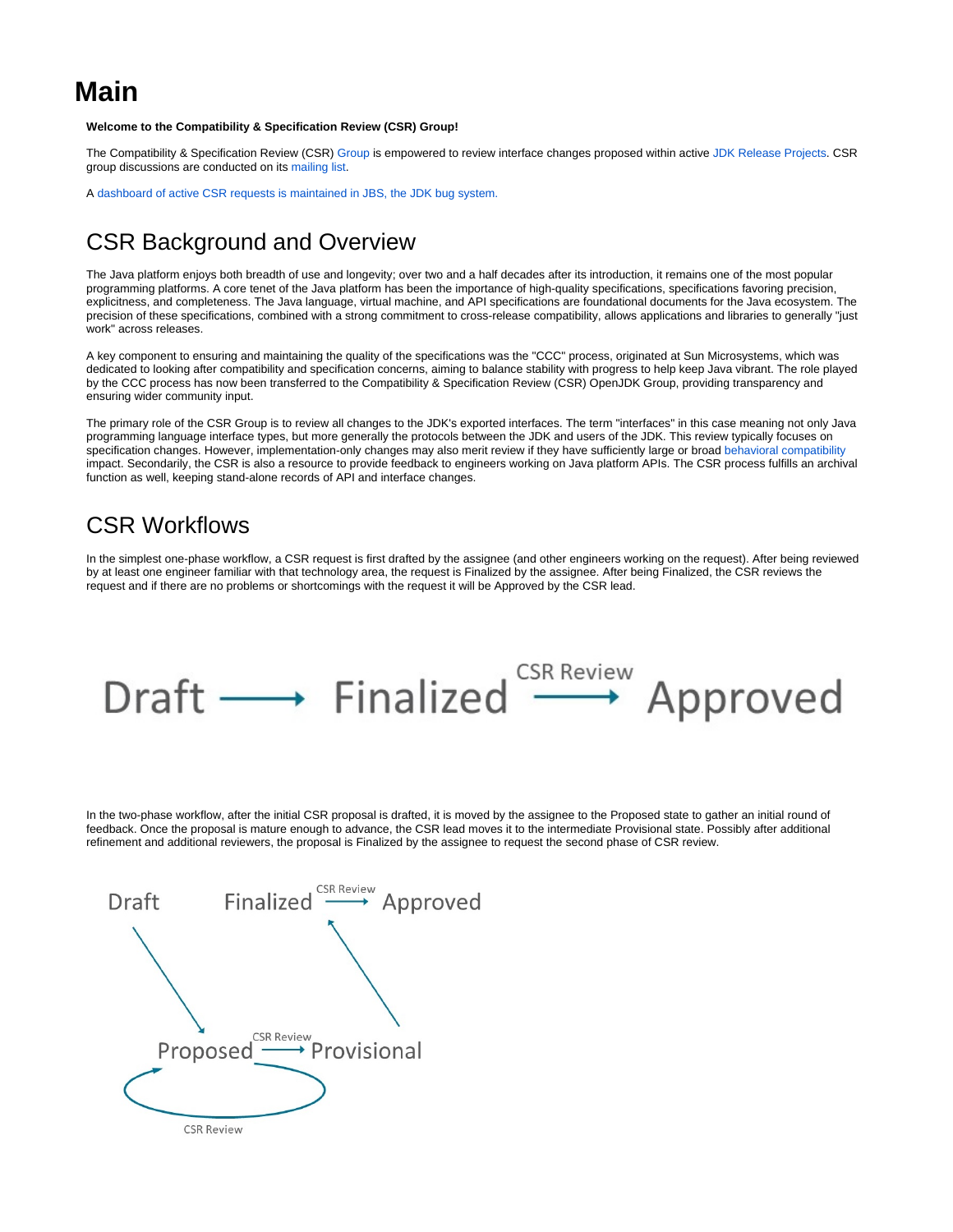# <span id="page-0-0"></span>**Main**

#### **Welcome to the Compatibility & Specification Review (CSR) Group!**

The Compatibility & Specification Review (CSR) [Group](http://openjdk.java.net/groups/index.html) is empowered to review interface changes proposed within active [JDK Release Projects](http://openjdk.java.net/bylaws#jdk-release-projects). CSR group discussions are conducted on its [mailing list](http://mail.openjdk.java.net/mailman/listinfo/csr-discuss).

A [dashboard of active CSR requests](https://bugs.openjdk.java.net/secure/Dashboard.jspa?selectPageId=17313) [is maintained in JBS, the JDK bug system.](https://bugs.openjdk.java.net/secure/Dashboard.jspa)

## CSR Background and Overview

The Java platform enjoys both breadth of use and longevity; over two and a half decades after its introduction, it remains one of the most popular programming platforms. A core tenet of the Java platform has been the importance of high-quality specifications, specifications favoring precision, explicitness, and completeness. The Java language, virtual machine, and API specifications are foundational documents for the Java ecosystem. The precision of these specifications, combined with a strong commitment to cross-release compatibility, allows applications and libraries to generally "just work" across releases.

A key component to ensuring and maintaining the quality of the specifications was the "CCC" process, originated at Sun Microsystems, which was dedicated to looking after compatibility and specification concerns, aiming to balance stability with progress to help keep Java vibrant. The role played by the CCC process has now been transferred to the Compatibility & Specification Review (CSR) OpenJDK Group, providing transparency and ensuring wider community input.

The primary role of the CSR Group is to review all changes to the JDK's exported interfaces. The term "interfaces" in this case meaning not only Java programming language interface types, but more generally the protocols between the JDK and users of the JDK. This review typically focuses on specification changes. However, implementation-only changes may also merit review if they have sufficiently large or broad [behavioral compatibility](https://wiki.openjdk.java.net/display/csr/Kinds+of+Compatibility#behavioral_compatibility) impact. Secondarily, the CSR is also a resource to provide feedback to engineers working on Java platform APIs. The CSR process fulfills an archival function as well, keeping stand-alone records of API and interface changes.

### CSR Workflows

In the simplest one-phase workflow, a CSR request is first drafted by the assignee (and other engineers working on the request). After being reviewed by at least one engineer familiar with that technology area, the request is Finalized by the assignee. After being Finalized, the CSR reviews the request and if there are no problems or shortcomings with the request it will be Approved by the CSR lead.



In the two-phase workflow, after the initial CSR proposal is drafted, it is moved by the assignee to the Proposed state to gather an initial round of feedback. Once the proposal is mature enough to advance, the CSR lead moves it to the intermediate Provisional state. Possibly after additional refinement and additional reviewers, the proposal is Finalized by the assignee to request the second phase of CSR review.